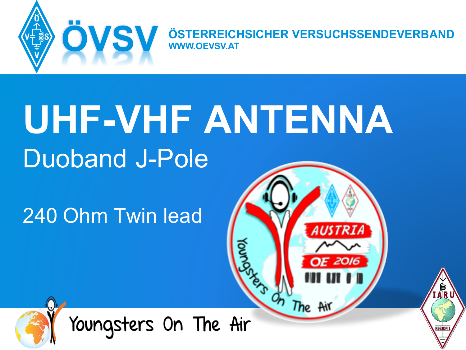

**ÖVSV ÖSTERREICHSICHER VERSUCHSSENDEVERBAND WWW.OEVSV.AT**

# **UHF-VHF ANTENNA** Duoband J-Pole

240 Ohm Twin lead





Youngsters On The Air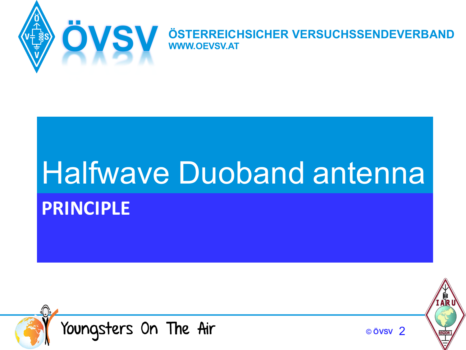

**ÖVSV ÖSTERREICHSICHER VERSUCHSSENDEVERBAND WWW.OEVSV.AT**

## **PRINCIPLE** Halfwave Duoband antenna



**© ÖVSV** 2

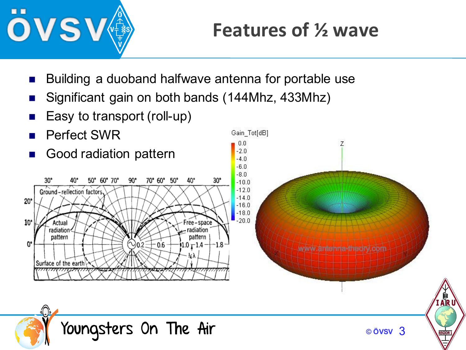

## **Features of 1/2 wave**

- Building a duoband halfwave antenna for portable use
- Significant gain on both bands (144Mhz, 433Mhz)
- Easy to transport (roll-up)
- Perfect SWR



Gain Tot[dB]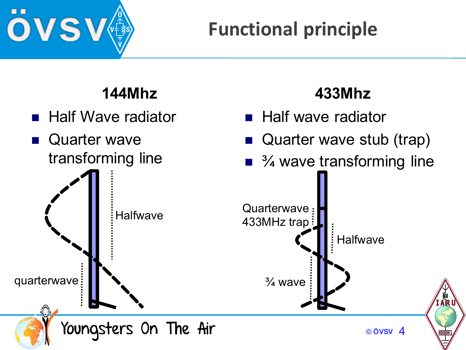

## **Functional principle**

#### **144Mhz**

- Half Wave radiator
- **n** Quarter wave transforming line

### **433Mhz**

- **n** Half wave radiator
- Quarter wave stub (trap)
- $\blacksquare$   $\frac{3}{4}$  wave transforming line

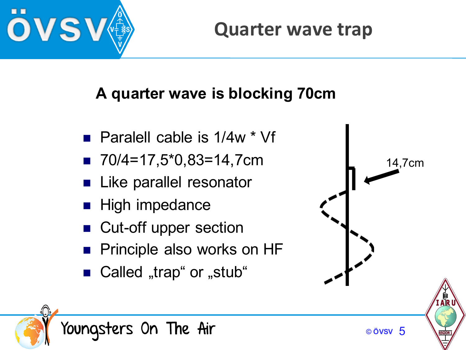

#### **Quarter wave trap**

#### **A quarter wave is blocking 70cm**

- **Paralell cable is 1/4w**  $*$  **Vf**
- $\blacksquare$  70/4=17,5\*0,83=14,7cm
- Like parallel resonator
- High impedance
- Cut-off upper section
- **n** Principle also works on HF
- Called "trap" or "stub"



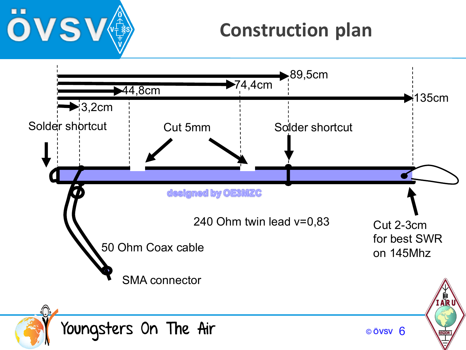

### **Construction plan**

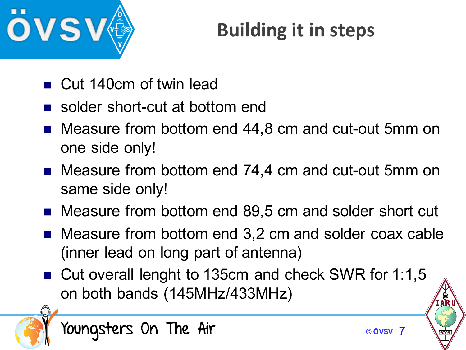

## **Building it in steps**

- Cut 140cm of twin lead
- solder short-cut at bottom end
- Measure from bottom end 44,8 cm and cut-out 5mm on one side only!
- Measure from bottom end 74,4 cm and cut-out 5mm on same side only!
- Measure from bottom end 89,5 cm and solder short cut
- $\blacksquare$  Measure from bottom end 3,2 cm and solder coax cable (inner lead on long part of antenna)
- Cut overall lenght to 135cm and check SWR for 1:1,5 on both bands (145MHz/433MHz)